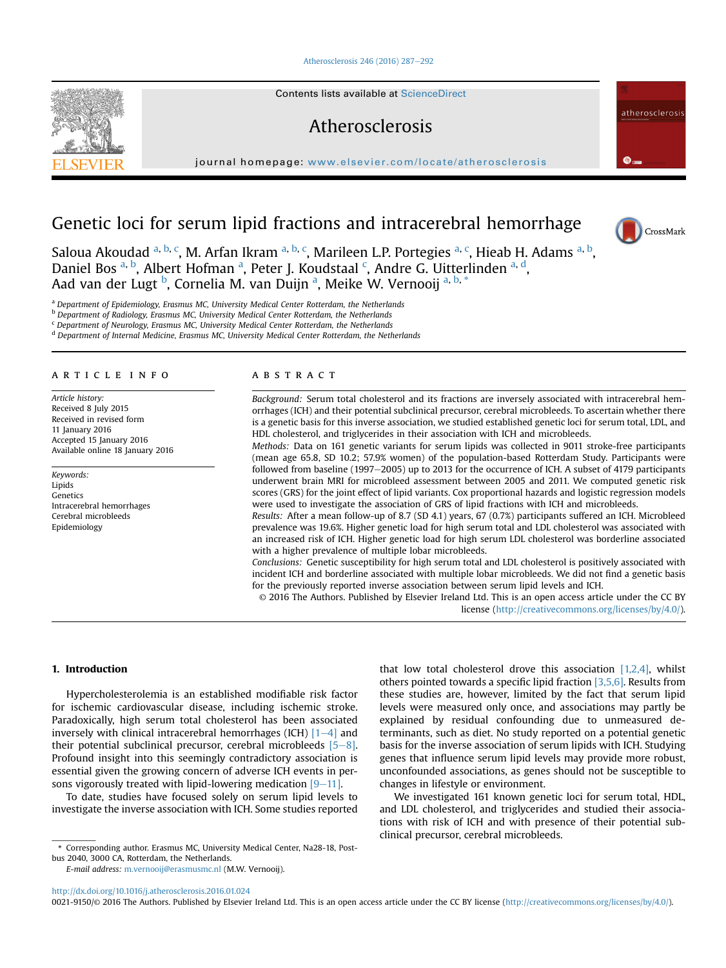#### [Atherosclerosis 246 \(2016\) 287](http://dx.doi.org/10.1016/j.atherosclerosis.2016.01.024)-[292](http://dx.doi.org/10.1016/j.atherosclerosis.2016.01.024)

Contents lists available at ScienceDirect

# Atherosclerosis

journal homepage: [www.elsevier.com/locate/atherosclerosis](http://www.elsevier.com/locate/atherosclerosis)

# Genetic loci for serum lipid fractions and intracerebral hemorrhage

Saloua Akoudad <sup>a, b, c</sup>, M. Arfan Ikram <sup>a, b, c</sup>, Marileen L.P. Portegies <sup>a, c</sup>, Hieab H. Adams <sup>a, b</sup>, Daniel Bos <sup>a, b</sup>, Albert Hofman <sup>a</sup>, Peter J. Koudstaal <sup>c</sup>, Andre G. Uitterlinden <sup>a, d</sup>, Aad van der Lugt <sup>b</sup>, Cornelia M. van Duijn <sup>a</sup>, Meike W. Vernooij <sup>a, b, \*</sup>

<sup>a</sup> Department of Epidemiology, Erasmus MC, University Medical Center Rotterdam, the Netherlands

b Department of Radiology, Erasmus MC, University Medical Center Rotterdam, the Netherlands

 $c$  Department of Neurology, Erasmus MC, University Medical Center Rotterdam, the Netherlands

<sup>d</sup> Department of Internal Medicine, Erasmus MC, University Medical Center Rotterdam, the Netherlands

#### article info

Article history: Received 8 July 2015 Received in revised form 11 January 2016 Accepted 15 January 2016 Available online 18 January 2016

Keywords: **Linids Genetics** Intracerebral hemorrhages Cerebral microbleeds Epidemiology

## **ABSTRACT**

Background: Serum total cholesterol and its fractions are inversely associated with intracerebral hemorrhages (ICH) and their potential subclinical precursor, cerebral microbleeds. To ascertain whether there is a genetic basis for this inverse association, we studied established genetic loci for serum total, LDL, and HDL cholesterol, and triglycerides in their association with ICH and microbleeds.

Methods: Data on 161 genetic variants for serum lipids was collected in 9011 stroke-free participants (mean age 65.8, SD 10.2; 57.9% women) of the population-based Rotterdam Study. Participants were followed from baseline (1997 $-2005$ ) up to 2013 for the occurrence of ICH. A subset of 4179 participants underwent brain MRI for microbleed assessment between 2005 and 2011. We computed genetic risk scores (GRS) for the joint effect of lipid variants. Cox proportional hazards and logistic regression models were used to investigate the association of GRS of lipid fractions with ICH and microbleeds.

Results: After a mean follow-up of 8.7 (SD 4.1) years, 67 (0.7%) participants suffered an ICH. Microbleed prevalence was 19.6%. Higher genetic load for high serum total and LDL cholesterol was associated with an increased risk of ICH. Higher genetic load for high serum LDL cholesterol was borderline associated with a higher prevalence of multiple lobar microbleeds.

Conclusions: Genetic susceptibility for high serum total and LDL cholesterol is positively associated with incident ICH and borderline associated with multiple lobar microbleeds. We did not find a genetic basis for the previously reported inverse association between serum lipid levels and ICH.

changes in lifestyle or environment.

clinical precursor, cerebral microbleeds.

© 2016 The Authors. Published by Elsevier Ireland Ltd. This is an open access article under the CC BY license [\(http://creativecommons.org/licenses/by/4.0/](http://creativecommons.org/licenses/by/4.0/)).

> that low total cholesterol drove this association  $[1,2,4]$ , whilst others pointed towards a specific lipid fraction [\[3,5,6\].](#page-4-0) Results from these studies are, however, limited by the fact that serum lipid levels were measured only once, and associations may partly be explained by residual confounding due to unmeasured determinants, such as diet. No study reported on a potential genetic basis for the inverse association of serum lipids with ICH. Studying genes that influence serum lipid levels may provide more robust, unconfounded associations, as genes should not be susceptible to

> We investigated 161 known genetic loci for serum total, HDL, and LDL cholesterol, and triglycerides and studied their associations with risk of ICH and with presence of their potential sub-

#### 1. Introduction

Hypercholesterolemia is an established modifiable risk factor for ischemic cardiovascular disease, including ischemic stroke. Paradoxically, high serum total cholesterol has been associated inversely with clinical intracerebral hemorrhages (ICH)  $[1-4]$  $[1-4]$  $[1-4]$  and their potential subclinical precursor, cerebral microbleeds  $[5-8]$  $[5-8]$ . Profound insight into this seemingly contradictory association is essential given the growing concern of adverse ICH events in persons vigorously treated with lipid-lowering medication  $[9-11]$  $[9-11]$ .

To date, studies have focused solely on serum lipid levels to investigate the inverse association with ICH. Some studies reported

<http://dx.doi.org/10.1016/j.atherosclerosis.2016.01.024>





atherosclerosis

 $\mathbf{\circledcirc}$ 

<sup>\*</sup> Corresponding author. Erasmus MC, University Medical Center, Na28-18, Post-

bus 2040, 3000 CA, Rotterdam, the Netherlands.

E-mail address: [m.vernooij@erasmusmc.nl](mailto:m.vernooij@erasmusmc.nl) (M.W. Vernooij).

<sup>0021-9150/© 2016</sup> The Authors. Published by Elsevier Ireland Ltd. This is an open access article under the CC BY license ([http://creativecommons.org/licenses/by/4.0/\)](http://creativecommons.org/licenses/by/4.0/).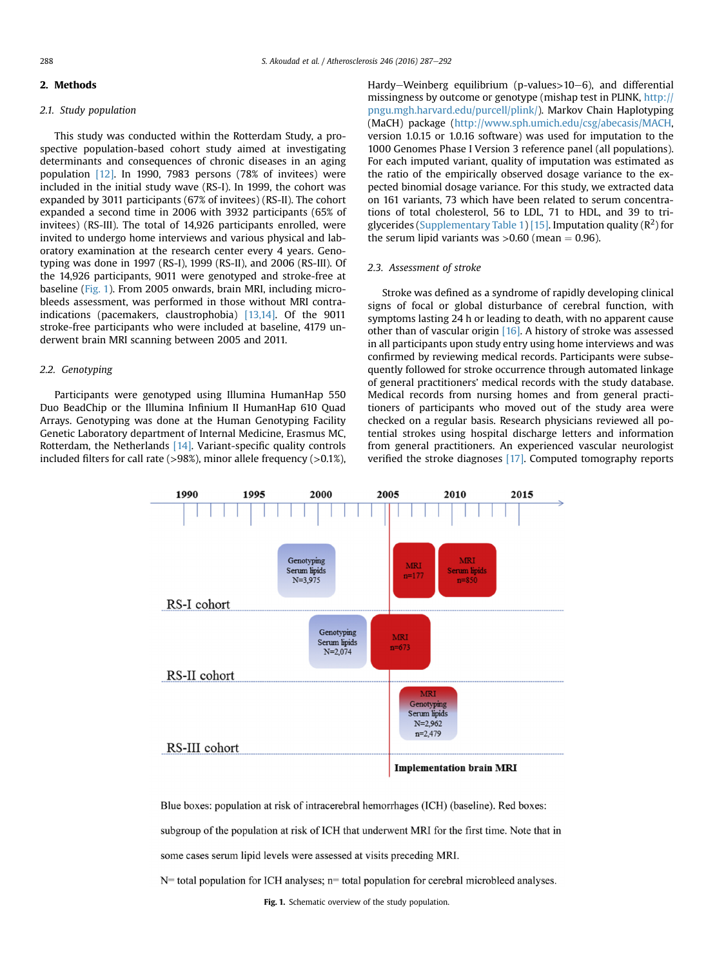# <span id="page-1-0"></span>2. Methods

#### 2.1. Study population

This study was conducted within the Rotterdam Study, a prospective population-based cohort study aimed at investigating determinants and consequences of chronic diseases in an aging population [\[12\]](#page-5-0). In 1990, 7983 persons (78% of invitees) were included in the initial study wave (RS-I). In 1999, the cohort was expanded by 3011 participants (67% of invitees) (RS-II). The cohort expanded a second time in 2006 with 3932 participants (65% of invitees) (RS-III). The total of 14,926 participants enrolled, were invited to undergo home interviews and various physical and laboratory examination at the research center every 4 years. Genotyping was done in 1997 (RS-I), 1999 (RS-II), and 2006 (RS-III). Of the 14,926 participants, 9011 were genotyped and stroke-free at baseline (Fig. 1). From 2005 onwards, brain MRI, including microbleeds assessment, was performed in those without MRI contraindications (pacemakers, claustrophobia) [\[13,14\].](#page-5-0) Of the 9011 stroke-free participants who were included at baseline, 4179 underwent brain MRI scanning between 2005 and 2011.

# 2.2. Genotyping

Participants were genotyped using Illumina HumanHap 550 Duo BeadChip or the Illumina Infinium II HumanHap 610 Quad Arrays. Genotyping was done at the Human Genotyping Facility Genetic Laboratory department of Internal Medicine, Erasmus MC, Rotterdam, the Netherlands [\[14\].](#page-5-0) Variant-specific quality controls included filters for call rate (>98%), minor allele frequency (>0.1%), Hardy-Weinberg equilibrium (p-values>10-6), and differential missingness by outcome or genotype (mishap test in PLINK, [http://](http://pngu.mgh.harvard.edu/purcell/plink/) [pngu.mgh.harvard.edu/purcell/plink/](http://pngu.mgh.harvard.edu/purcell/plink/)). Markov Chain Haplotyping (MaCH) package ([http://www.sph.umich.edu/csg/abecasis/MACH,](http://www.sph.umich.edu/csg/abecasis/MACH) version 1.0.15 or 1.0.16 software) was used for imputation to the 1000 Genomes Phase I Version 3 reference panel (all populations). For each imputed variant, quality of imputation was estimated as the ratio of the empirically observed dosage variance to the expected binomial dosage variance. For this study, we extracted data on 161 variants, 73 which have been related to serum concentrations of total cholesterol, 56 to LDL, 71 to HDL, and 39 to tri-glycerides (Supplementary Table 1) [\[15\]](#page-5-0). Imputation quality ( $\mathsf{R}^2$ ) for the serum lipid variants was  $>0.60$  (mean  $= 0.96$ ).

# 2.3. Assessment of stroke

Stroke was defined as a syndrome of rapidly developing clinical signs of focal or global disturbance of cerebral function, with symptoms lasting 24 h or leading to death, with no apparent cause other than of vascular origin  $[16]$ . A history of stroke was assessed in all participants upon study entry using home interviews and was confirmed by reviewing medical records. Participants were subsequently followed for stroke occurrence through automated linkage of general practitioners' medical records with the study database. Medical records from nursing homes and from general practitioners of participants who moved out of the study area were checked on a regular basis. Research physicians reviewed all potential strokes using hospital discharge letters and information from general practitioners. An experienced vascular neurologist verified the stroke diagnoses [\[17\].](#page-5-0) Computed tomography reports



Blue boxes: population at risk of intracerebral hemorrhages (ICH) (baseline). Red boxes: subgroup of the population at risk of ICH that underwent MRI for the first time. Note that in some cases serum lipid levels were assessed at visits preceding MRI.

 $N$  = total population for ICH analyses;  $n$  = total population for cerebral microbleed analyses.

Fig. 1. Schematic overview of the study population.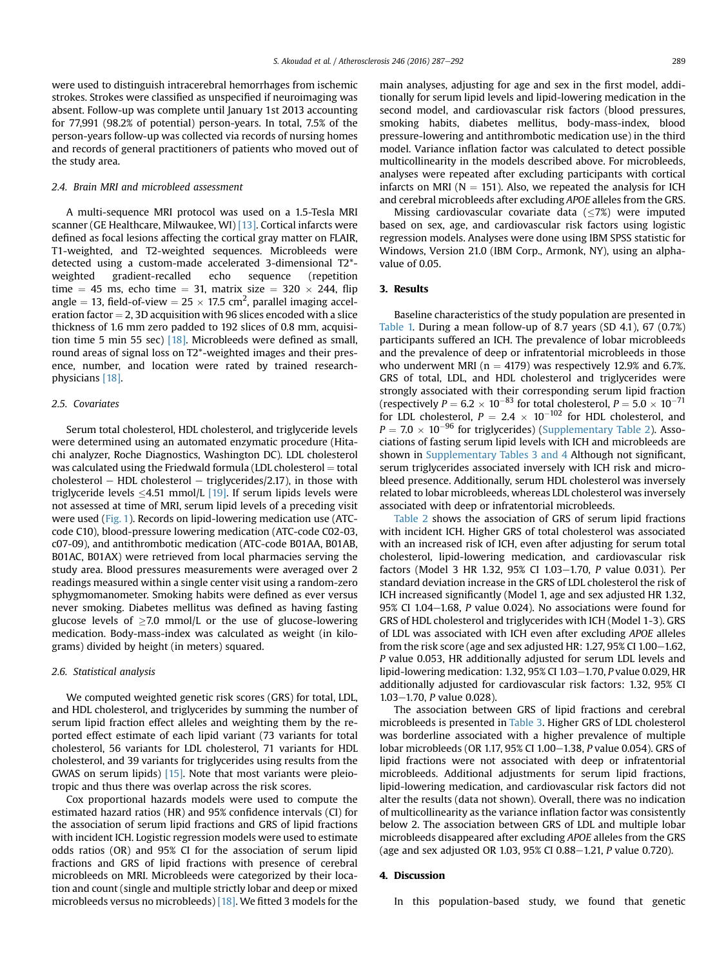were used to distinguish intracerebral hemorrhages from ischemic strokes. Strokes were classified as unspecified if neuroimaging was absent. Follow-up was complete until January 1st 2013 accounting for 77,991 (98.2% of potential) person-years. In total, 7.5% of the person-years follow-up was collected via records of nursing homes and records of general practitioners of patients who moved out of the study area.

## 2.4. Brain MRI and microbleed assessment

A multi-sequence MRI protocol was used on a 1.5-Tesla MRI scanner (GE Healthcare, Milwaukee, WI) [\[13\]](#page-5-0). Cortical infarcts were defined as focal lesions affecting the cortical gray matter on FLAIR, T1-weighted, and T2-weighted sequences. Microbleeds were detected using a custom-made accelerated 3-dimensional T2\* weighted gradient-recalled echo sequence (repetition time = 45 ms, echo time = 31, matrix size =  $320 \times 244$ , flip angle = 13, field-of-view =  $25 \times 17.5$  cm<sup>2</sup>, parallel imaging acceleration factor  $= 2$ , 3D acquisition with 96 slices encoded with a slice thickness of 1.6 mm zero padded to 192 slices of 0.8 mm, acquisition time 5 min 55 sec) [\[18\]](#page-5-0). Microbleeds were defined as small, round areas of signal loss on T2\*-weighted images and their presence, number, and location were rated by trained researchphysicians [\[18\].](#page-5-0)

# 2.5. Covariates

Serum total cholesterol, HDL cholesterol, and triglyceride levels were determined using an automated enzymatic procedure (Hitachi analyzer, Roche Diagnostics, Washington DC). LDL cholesterol was calculated using the Friedwald formula (LDL cholesterol  $=$  total cholesterol  $-$  HDL cholesterol  $-$  triglycerides/2.17), in those with triglyceride levels  $\leq$ 4.51 mmol/L [\[19\].](#page-5-0) If serum lipids levels were not assessed at time of MRI, serum lipid levels of a preceding visit were used ([Fig. 1\)](#page-1-0). Records on lipid-lowering medication use (ATCcode C10), blood-pressure lowering medication (ATC-code C02-03, c07-09), and antithrombotic medication (ATC-code B01AA, B01AB, B01AC, B01AX) were retrieved from local pharmacies serving the study area. Blood pressures measurements were averaged over 2 readings measured within a single center visit using a random-zero sphygmomanometer. Smoking habits were defined as ever versus never smoking. Diabetes mellitus was defined as having fasting glucose levels of  $\geq$ 7.0 mmol/L or the use of glucose-lowering medication. Body-mass-index was calculated as weight (in kilograms) divided by height (in meters) squared.

## 2.6. Statistical analysis

We computed weighted genetic risk scores (GRS) for total, LDL, and HDL cholesterol, and triglycerides by summing the number of serum lipid fraction effect alleles and weighting them by the reported effect estimate of each lipid variant (73 variants for total cholesterol, 56 variants for LDL cholesterol, 71 variants for HDL cholesterol, and 39 variants for triglycerides using results from the GWAS on serum lipids) [\[15\]](#page-5-0). Note that most variants were pleiotropic and thus there was overlap across the risk scores.

Cox proportional hazards models were used to compute the estimated hazard ratios (HR) and 95% confidence intervals (CI) for the association of serum lipid fractions and GRS of lipid fractions with incident ICH. Logistic regression models were used to estimate odds ratios (OR) and 95% CI for the association of serum lipid fractions and GRS of lipid fractions with presence of cerebral microbleeds on MRI. Microbleeds were categorized by their location and count (single and multiple strictly lobar and deep or mixed microbleeds versus no microbleeds) [\[18\]](#page-5-0). We fitted 3 models for the main analyses, adjusting for age and sex in the first model, additionally for serum lipid levels and lipid-lowering medication in the second model, and cardiovascular risk factors (blood pressures, smoking habits, diabetes mellitus, body-mass-index, blood pressure-lowering and antithrombotic medication use) in the third model. Variance inflation factor was calculated to detect possible multicollinearity in the models described above. For microbleeds, analyses were repeated after excluding participants with cortical infarcts on MRI ( $N = 151$ ). Also, we repeated the analysis for ICH and cerebral microbleeds after excluding APOE alleles from the GRS.

Missing cardiovascular covariate data  $\langle 7\% \rangle$  were imputed based on sex, age, and cardiovascular risk factors using logistic regression models. Analyses were done using IBM SPSS statistic for Windows, Version 21.0 (IBM Corp., Armonk, NY), using an alphavalue of 0.05.

#### 3. Results

Baseline characteristics of the study population are presented in [Table 1.](#page-3-0) During a mean follow-up of 8.7 years (SD 4.1), 67 (0.7%) participants suffered an ICH. The prevalence of lobar microbleeds and the prevalence of deep or infratentorial microbleeds in those who underwent MRI ( $n = 4179$ ) was respectively 12.9% and 6.7%. GRS of total, LDL, and HDL cholesterol and triglycerides were strongly associated with their corresponding serum lipid fraction (respectively  $P = 6.2 \times 10^{-83}$  for total cholesterol,  $P = 5.0 \times 10^{-71}$ for LDL cholesterol,  $P = 2.4 \times 10^{-102}$  for HDL cholesterol, and  $P = 7.0 \times 10^{-96}$  for triglycerides) (Supplementary Table 2). Associations of fasting serum lipid levels with ICH and microbleeds are shown in Supplementary Tables 3 and 4 Although not significant, serum triglycerides associated inversely with ICH risk and microbleed presence. Additionally, serum HDL cholesterol was inversely related to lobar microbleeds, whereas LDL cholesterol was inversely associated with deep or infratentorial microbleeds.

[Table 2](#page-3-0) shows the association of GRS of serum lipid fractions with incident ICH. Higher GRS of total cholesterol was associated with an increased risk of ICH, even after adjusting for serum total cholesterol, lipid-lowering medication, and cardiovascular risk factors (Model 3 HR 1.32, 95% CI 1.03-1.70, P value 0.031). Per standard deviation increase in the GRS of LDL cholesterol the risk of ICH increased significantly (Model 1, age and sex adjusted HR 1.32, 95% CI 1.04 $-1.68$ , P value 0.024). No associations were found for GRS of HDL cholesterol and triglycerides with ICH (Model 1-3). GRS of LDL was associated with ICH even after excluding APOE alleles from the risk score (age and sex adjusted HR: 1.27, 95% CI 1.00-1.62, P value 0.053, HR additionally adjusted for serum LDL levels and lipid-lowering medication: 1.32, 95% CI 1.03-1.70, P value 0.029, HR additionally adjusted for cardiovascular risk factors: 1.32, 95% CI  $1.03 - 1.70$ . P value 0.028).

The association between GRS of lipid fractions and cerebral microbleeds is presented in [Table 3](#page-3-0). Higher GRS of LDL cholesterol was borderline associated with a higher prevalence of multiple lobar microbleeds (OR 1.17, 95% CI 1.00-1.38, P value 0.054). GRS of lipid fractions were not associated with deep or infratentorial microbleeds. Additional adjustments for serum lipid fractions, lipid-lowering medication, and cardiovascular risk factors did not alter the results (data not shown). Overall, there was no indication of multicollinearity as the variance inflation factor was consistently below 2. The association between GRS of LDL and multiple lobar microbleeds disappeared after excluding APOE alleles from the GRS (age and sex adjusted OR 1.03, 95% CI 0.88 $-1.21$ , P value 0.720).

### 4. Discussion

In this population-based study, we found that genetic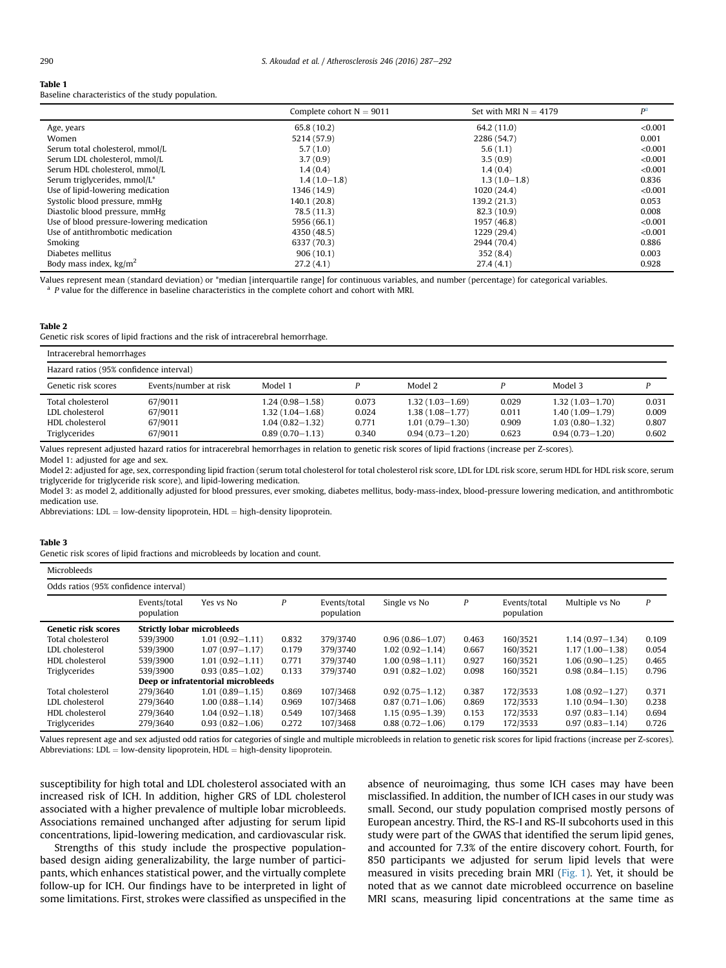#### <span id="page-3-0"></span>Table 1

Baseline characteristics of the study population.

|                                           | Complete cohort $N = 9011$ | Set with MRI $N = 4179$ | pa      |
|-------------------------------------------|----------------------------|-------------------------|---------|
| Age, years                                | 65.8 (10.2)                | 64.2 (11.0)             | < 0.001 |
| Women                                     | 5214 (57.9)                | 2286 (54.7)             | 0.001   |
| Serum total cholesterol, mmol/L           | 5.7(1.0)                   | 5.6(1.1)                | < 0.001 |
| Serum LDL cholesterol, mmol/L             | 3.7(0.9)                   | 3.5(0.9)                | < 0.001 |
| Serum HDL cholesterol, mmol/L             | 1.4(0.4)                   | 1.4(0.4)                | < 0.001 |
| Serum triglycerides, mmol/L*              | $1.4(1.0-1.8)$             | $1.3(1.0-1.8)$          | 0.836   |
| Use of lipid-lowering medication          | 1346 (14.9)                | 1020 (24.4)             | < 0.001 |
| Systolic blood pressure, mmHg             | 140.1 (20.8)               | 139.2 (21.3)            | 0.053   |
| Diastolic blood pressure, mmHg            | 78.5 (11.3)                | 82.3 (10.9)             | 0.008   |
| Use of blood pressure-lowering medication | 5956 (66.1)                | 1957 (46.8)             | < 0.001 |
| Use of antithrombotic medication          | 4350 (48.5)                | 1229 (29.4)             | < 0.001 |
| Smoking                                   | 6337 (70.3)                | 2944 (70.4)             | 0.886   |
| Diabetes mellitus                         | 906(10.1)                  | 352(8.4)                | 0.003   |
| Body mass index, $\text{kg/m}^2$          | 27.2(4.1)                  | 27.4(4.1)               | 0.928   |

Values represent mean (standard deviation) or \*median [interquartile range] for continuous variables, and number (percentage) for categorical variables.

 $a$  P value for the difference in baseline characteristics in the complete cohort and cohort with MRI.

#### Table 2

Genetic risk scores of lipid fractions and the risk of intracerebral hemorrhage.

| Intracerebral hemorrhages<br>Hazard ratios (95% confidence interval) |                       |                     |       |                     |       |                     |       |  |
|----------------------------------------------------------------------|-----------------------|---------------------|-------|---------------------|-------|---------------------|-------|--|
| Genetic risk scores                                                  | Events/number at risk | Model 1             |       | Model 2             |       | Model 3             |       |  |
| Total cholesterol                                                    | 67/9011               | 1.24 (0.98–1.58)    | 0.073 | $1.32(1.03 - 1.69)$ | 0.029 | $1.32(1.03 - 1.70)$ | 0.031 |  |
| LDL cholesterol                                                      | 67/9011               | 1.32 (1.04–1.68)    | 0.024 | $1.38(1.08 - 1.77)$ | 0.011 | $1.40(1.09-1.79)$   | 0.009 |  |
| HDL cholesterol                                                      | 67/9011               | $1.04(0.82 - 1.32)$ | 0.771 | $1.01(0.79 - 1.30)$ | 0.909 | $1.03(0.80 - 1.32)$ | 0.807 |  |
| Triglycerides                                                        | 67/9011               | $0.89(0.70 - 1.13)$ | 0.340 | $0.94(0.73 - 1.20)$ | 0.623 | $0.94(0.73 - 1.20)$ | 0.602 |  |

Values represent adjusted hazard ratios for intracerebral hemorrhages in relation to genetic risk scores of lipid fractions (increase per Z-scores).

Model 1: adjusted for age and sex.

Model 2: adjusted for age, sex, corresponding lipid fraction (serum total cholesterol for total cholesterol risk score, LDL for LDL risk score, serum HDL for HDL risk score, serum triglyceride for triglyceride risk score), and lipid-lowering medication.

Model 3: as model 2, additionally adjusted for blood pressures, ever smoking, diabetes mellitus, body-mass-index, blood-pressure lowering medication, and antithrombotic medication use.

Abbreviations:  $LDL = low-density lipoprotein$ ,  $HDL = high-density lipoprotein$ .

#### Table 3

Genetic risk scores of lipid fractions and microbleeds by location and count.

Microbleeds

| Odds ratios (95% confidence interval) |                                   |                                    |       |                            |                     |       |                            |                     |       |
|---------------------------------------|-----------------------------------|------------------------------------|-------|----------------------------|---------------------|-------|----------------------------|---------------------|-------|
|                                       | Events/total<br>population        | Yes vs No                          | P     | Events/total<br>population | Single vs No        | Ρ     | Events/total<br>population | Multiple vs No      | P     |
| <b>Genetic risk scores</b>            | <b>Strictly lobar microbleeds</b> |                                    |       |                            |                     |       |                            |                     |       |
| Total cholesterol                     | 539/3900                          | $1.01(0.92 - 1.11)$                | 0.832 | 379/3740                   | $0.96(0.86 - 1.07)$ | 0.463 | 160/3521                   | $1.14(0.97 - 1.34)$ | 0.109 |
| LDL cholesterol                       | 539/3900                          | $1.07(0.97 - 1.17)$                | 0.179 | 379/3740                   | $1.02(0.92 - 1.14)$ | 0.667 | 160/3521                   | $1.17(1.00-1.38)$   | 0.054 |
| HDL cholesterol                       | 539/3900                          | $1.01(0.92 - 1.11)$                | 0.771 | 379/3740                   | $1.00(0.98 - 1.11)$ | 0.927 | 160/3521                   | $1.06(0.90 - 1.25)$ | 0.465 |
| Triglycerides                         | 539/3900                          | $0.93(0.85 - 1.02)$                | 0.133 | 379/3740                   | $0.91(0.82 - 1.02)$ | 0.098 | 160/3521                   | $0.98(0.84 - 1.15)$ | 0.796 |
|                                       |                                   | Deep or infratentorial microbleeds |       |                            |                     |       |                            |                     |       |
| Total cholesterol                     | 279/3640                          | $1.01(0.89 - 1.15)$                | 0.869 | 107/3468                   | $0.92(0.75 - 1.12)$ | 0.387 | 172/3533                   | $1.08(0.92 - 1.27)$ | 0.371 |
| LDL cholesterol                       | 279/3640                          | $1.00(0.88 - 1.14)$                | 0.969 | 107/3468                   | $0.87(0.71 - 1.06)$ | 0.869 | 172/3533                   | $1.10(0.94 - 1.30)$ | 0.238 |
| HDL cholesterol                       | 279/3640                          | $1.04(0.92 - 1.18)$                | 0.549 | 107/3468                   | $1.15(0.95 - 1.39)$ | 0.153 | 172/3533                   | $0.97(0.83 - 1.14)$ | 0.694 |
| Triglycerides                         | 279/3640                          | $0.93(0.82 - 1.06)$                | 0.272 | 107/3468                   | $0.88(0.72 - 1.06)$ | 0.179 | 172/3533                   | $0.97(0.83 - 1.14)$ | 0.726 |

Values represent age and sex adjusted odd ratios for categories of single and multiple microbleeds in relation to genetic risk scores for lipid fractions (increase per Z-scores). Abbreviations:  $LDL = low$ -density lipoprotein,  $HDL = high$ -density lipoprotein.

susceptibility for high total and LDL cholesterol associated with an increased risk of ICH. In addition, higher GRS of LDL cholesterol associated with a higher prevalence of multiple lobar microbleeds. Associations remained unchanged after adjusting for serum lipid concentrations, lipid-lowering medication, and cardiovascular risk.

Strengths of this study include the prospective populationbased design aiding generalizability, the large number of participants, which enhances statistical power, and the virtually complete follow-up for ICH. Our findings have to be interpreted in light of some limitations. First, strokes were classified as unspecified in the absence of neuroimaging, thus some ICH cases may have been misclassified. In addition, the number of ICH cases in our study was small. Second, our study population comprised mostly persons of European ancestry. Third, the RS-I and RS-II subcohorts used in this study were part of the GWAS that identified the serum lipid genes, and accounted for 7.3% of the entire discovery cohort. Fourth, for 850 participants we adjusted for serum lipid levels that were measured in visits preceding brain MRI ([Fig. 1](#page-1-0)). Yet, it should be noted that as we cannot date microbleed occurrence on baseline MRI scans, measuring lipid concentrations at the same time as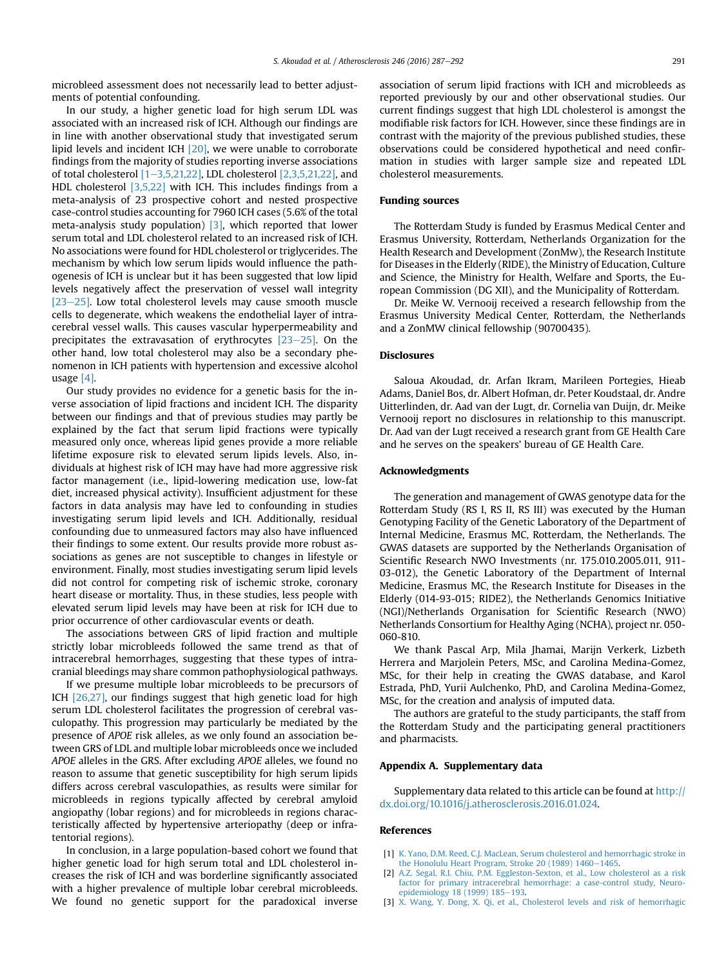<span id="page-4-0"></span>microbleed assessment does not necessarily lead to better adjustments of potential confounding.

In our study, a higher genetic load for high serum LDL was associated with an increased risk of ICH. Although our findings are in line with another observational study that investigated serum lipid levels and incident ICH [\[20\],](#page-5-0) we were unable to corroborate findings from the majority of studies reporting inverse associations of total cholesterol  $[1-3,5,21,22]$ , LDL cholesterol  $[2,3,5,21,22]$ , and HDL cholesterol [3,5,22] with ICH. This includes findings from a meta-analysis of 23 prospective cohort and nested prospective case-control studies accounting for 7960 ICH cases (5.6% of the total meta-analysis study population) [3], which reported that lower serum total and LDL cholesterol related to an increased risk of ICH. No associations were found for HDL cholesterol or triglycerides. The mechanism by which low serum lipids would influence the pathogenesis of ICH is unclear but it has been suggested that low lipid levels negatively affect the preservation of vessel wall integrity  $[23-25]$  $[23-25]$ . Low total cholesterol levels may cause smooth muscle cells to degenerate, which weakens the endothelial layer of intracerebral vessel walls. This causes vascular hyperpermeability and precipitates the extravasation of erythrocytes  $[23-25]$  $[23-25]$  $[23-25]$ . On the other hand, low total cholesterol may also be a secondary phenomenon in ICH patients with hypertension and excessive alcohol usage [\[4\]](#page-5-0).

Our study provides no evidence for a genetic basis for the inverse association of lipid fractions and incident ICH. The disparity between our findings and that of previous studies may partly be explained by the fact that serum lipid fractions were typically measured only once, whereas lipid genes provide a more reliable lifetime exposure risk to elevated serum lipids levels. Also, individuals at highest risk of ICH may have had more aggressive risk factor management (i.e., lipid-lowering medication use, low-fat diet, increased physical activity). Insufficient adjustment for these factors in data analysis may have led to confounding in studies investigating serum lipid levels and ICH. Additionally, residual confounding due to unmeasured factors may also have influenced their findings to some extent. Our results provide more robust associations as genes are not susceptible to changes in lifestyle or environment. Finally, most studies investigating serum lipid levels did not control for competing risk of ischemic stroke, coronary heart disease or mortality. Thus, in these studies, less people with elevated serum lipid levels may have been at risk for ICH due to prior occurrence of other cardiovascular events or death.

The associations between GRS of lipid fraction and multiple strictly lobar microbleeds followed the same trend as that of intracerebral hemorrhages, suggesting that these types of intracranial bleedings may share common pathophysiological pathways.

If we presume multiple lobar microbleeds to be precursors of ICH [\[26,27\]](#page-5-0), our findings suggest that high genetic load for high serum LDL cholesterol facilitates the progression of cerebral vasculopathy. This progression may particularly be mediated by the presence of APOE risk alleles, as we only found an association between GRS of LDL and multiple lobar microbleeds once we included APOE alleles in the GRS. After excluding APOE alleles, we found no reason to assume that genetic susceptibility for high serum lipids differs across cerebral vasculopathies, as results were similar for microbleeds in regions typically affected by cerebral amyloid angiopathy (lobar regions) and for microbleeds in regions characteristically affected by hypertensive arteriopathy (deep or infratentorial regions).

In conclusion, in a large population-based cohort we found that higher genetic load for high serum total and LDL cholesterol increases the risk of ICH and was borderline significantly associated with a higher prevalence of multiple lobar cerebral microbleeds. We found no genetic support for the paradoxical inverse association of serum lipid fractions with ICH and microbleeds as reported previously by our and other observational studies. Our current findings suggest that high LDL cholesterol is amongst the modifiable risk factors for ICH. However, since these findings are in contrast with the majority of the previous published studies, these observations could be considered hypothetical and need confirmation in studies with larger sample size and repeated LDL cholesterol measurements.

# Funding sources

The Rotterdam Study is funded by Erasmus Medical Center and Erasmus University, Rotterdam, Netherlands Organization for the Health Research and Development (ZonMw), the Research Institute for Diseases in the Elderly (RIDE), the Ministry of Education, Culture and Science, the Ministry for Health, Welfare and Sports, the European Commission (DG XII), and the Municipality of Rotterdam.

Dr. Meike W. Vernooij received a research fellowship from the Erasmus University Medical Center, Rotterdam, the Netherlands and a ZonMW clinical fellowship (90700435).

# Disclosures

Saloua Akoudad, dr. Arfan Ikram, Marileen Portegies, Hieab Adams, Daniel Bos, dr. Albert Hofman, dr. Peter Koudstaal, dr. Andre Uitterlinden, dr. Aad van der Lugt, dr. Cornelia van Duijn, dr. Meike Vernooij report no disclosures in relationship to this manuscript. Dr. Aad van der Lugt received a research grant from GE Health Care and he serves on the speakers' bureau of GE Health Care.

#### Acknowledgments

The generation and management of GWAS genotype data for the Rotterdam Study (RS I, RS II, RS III) was executed by the Human Genotyping Facility of the Genetic Laboratory of the Department of Internal Medicine, Erasmus MC, Rotterdam, the Netherlands. The GWAS datasets are supported by the Netherlands Organisation of Scientific Research NWO Investments (nr. 175.010.2005.011, 911- 03-012), the Genetic Laboratory of the Department of Internal Medicine, Erasmus MC, the Research Institute for Diseases in the Elderly (014-93-015; RIDE2), the Netherlands Genomics Initiative (NGI)/Netherlands Organisation for Scientific Research (NWO) Netherlands Consortium for Healthy Aging (NCHA), project nr. 050- 060-810.

We thank Pascal Arp, Mila Jhamai, Marijn Verkerk, Lizbeth Herrera and Marjolein Peters, MSc, and Carolina Medina-Gomez, MSc, for their help in creating the GWAS database, and Karol Estrada, PhD, Yurii Aulchenko, PhD, and Carolina Medina-Gomez, MSc, for the creation and analysis of imputed data.

The authors are grateful to the study participants, the staff from the Rotterdam Study and the participating general practitioners and pharmacists.

# Appendix A. Supplementary data

Supplementary data related to this article can be found at [http://](http://dx.doi.org/10.1016/j.atherosclerosis.2016.01.024) [dx.doi.org/10.1016/j.atherosclerosis.2016.01.024](http://dx.doi.org/10.1016/j.atherosclerosis.2016.01.024).

#### References

- [1] [K. Yano, D.M. Reed, C.J. MacLean, Serum cholesterol and hemorrhagic stroke in](http://refhub.elsevier.com/S0021-9150(16)30024-7/sref1) [the Honolulu Heart Program, Stroke 20 \(1989\) 1460](http://refhub.elsevier.com/S0021-9150(16)30024-7/sref1)-[1465](http://refhub.elsevier.com/S0021-9150(16)30024-7/sref1).
- [2] [A.Z. Segal, R.I. Chiu, P.M. Eggleston-Sexton, et al., Low cholesterol as a risk](http://refhub.elsevier.com/S0021-9150(16)30024-7/sref2) [factor for primary intracerebral hemorrhage: a case-control study, Neuro](http://refhub.elsevier.com/S0021-9150(16)30024-7/sref2)[epidemiology 18 \(1999\) 185](http://refhub.elsevier.com/S0021-9150(16)30024-7/sref2)-[193.](http://refhub.elsevier.com/S0021-9150(16)30024-7/sref2)
- [3] [X. Wang, Y. Dong, X. Qi, et al., Cholesterol levels and risk of hemorrhagic](http://refhub.elsevier.com/S0021-9150(16)30024-7/sref3)